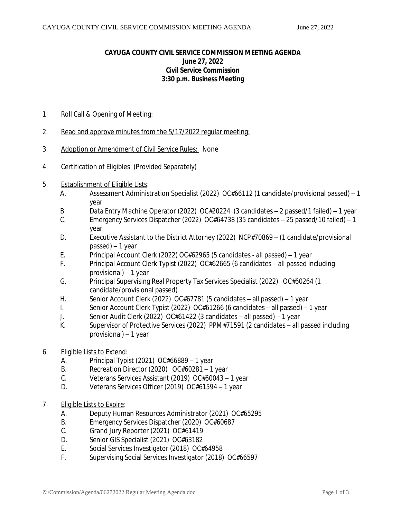## **CAYUGA COUNTY CIVIL SERVICE COMMISSION MEETING AGENDA June 27, 2022 Civil Service Commission 3:30 p.m. Business Meeting**

- 1. Roll Call & Opening of Meeting:
- 2. Read and approve minutes from the 5/17/2022 regular meeting:
- 3. Adoption or Amendment of Civil Service Rules: None
- 4. Certification of Eligibles: (Provided Separately)
- 5. Establishment of Eligible Lists:
	- A. Assessment Administration Specialist (2022) OC#66112 (1 candidate/provisional passed) 1 year
	- B. Data Entry Machine Operator (2022) OC#20224 (3 candidates 2 passed/1 failed) 1 year
	- C. Emergency Services Dispatcher (2022) OC#64738 (35 candidates 25 passed/10 failed) 1 year
	- D. Executive Assistant to the District Attorney (2022) NCP#70869 (1 candidate/provisional passed) – 1 year
	- E. Principal Account Clerk (2022) OC#62965 (5 candidates all passed) 1 year
	- F. Principal Account Clerk Typist (2022) OC#62665 (6 candidates all passed including provisional) – 1 year
	- G. Principal Supervising Real Property Tax Services Specialist (2022) OC#60264 (1 candidate/provisional passed)
	- H. Senior Account Clerk (2022) OC#67781 (5 candidates all passed) 1 year
	- I. Senior Account Clerk Typist (2022) OC#61266 (6 candidates all passed) 1 year
	- J. Senior Audit Clerk (2022) OC#61422 (3 candidates all passed) 1 year
	- K. Supervisor of Protective Services (2022) PPM#71591 (2 candidates all passed including provisional) – 1 year
- 6. Eligible Lists to Extend:
	- A. Principal Typist (2021) OC#66889 1 year
	- B. Recreation Director (2020) OC#60281 1 year
	- C. Veterans Services Assistant (2019) OC#60043 1 year
	- D. Veterans Services Officer (2019) OC#61594 1 year
- 7. Eligible Lists to Expire:
	- A. Deputy Human Resources Administrator (2021) OC#65295
	- B. Emergency Services Dispatcher (2020) OC#60687
	- C. Grand Jury Reporter (2021) OC#61419
	- D. Senior GIS Specialist (2021) OC#63182
	- E. Social Services Investigator (2018) OC#64958
	- F. Supervising Social Services Investigator (2018) OC#66597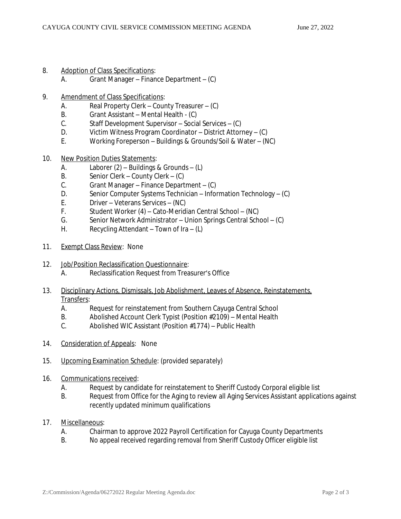- 8. Adoption of Class Specifications:
	- A. Grant Manager Finance Department (C)
- 9. Amendment of Class Specifications:
	- A. Real Property Clerk County Treasurer (C)
	- B. Grant Assistant Mental Health (C)<br>C. Staff Development Supervisor Socia
	- Staff Development Supervisor Social Services (C)
	- D. Victim Witness Program Coordinator District Attorney (C)
	- E. Working Foreperson Buildings & Grounds/Soil & Water (NC)
- 10. New Position Duties Statements:
	- A. Laborer (2) Buildings & Grounds (L)
	- B. Senior Clerk County Clerk (C)
	- C. Grant Manager Finance Department (C)
	- D. Senior Computer Systems Technician Information Technology (C)
	- E. Driver Veterans Services (NC)
	- F. Student Worker (4) Cato-Meridian Central School (NC)
	- G. Senior Network Administrator Union Springs Central School (C)
	- H. Recycling Attendant Town of Ira  $(L)$
- 11. Exempt Class Review: None
- 12. Job/Position Reclassification Questionnaire: A. Reclassification Request from Treasurer's Office
- 13. Disciplinary Actions, Dismissals, Job Abolishment, Leaves of Absence, Reinstatements, Transfers:<br>A
	- Request for reinstatement from Southern Cayuga Central School
	- B. Abolished Account Clerk Typist (Position #2109) Mental Health
	- C. Abolished WIC Assistant (Position #1774) Public Health
- 14. Consideration of Appeals: None
- 15. Upcoming Examination Schedule: (*provided separately*)
- 16. Communications received:
	- A. Request by candidate for reinstatement to Sheriff Custody Corporal eligible list
	- B. Request from Office for the Aging to review all Aging Services Assistant applications against recently updated minimum qualifications
- 17. Miscellaneous:
	- A. Chairman to approve 2022 Payroll Certification for Cayuga County Departments
	- B. No appeal received regarding removal from Sheriff Custody Officer eligible list